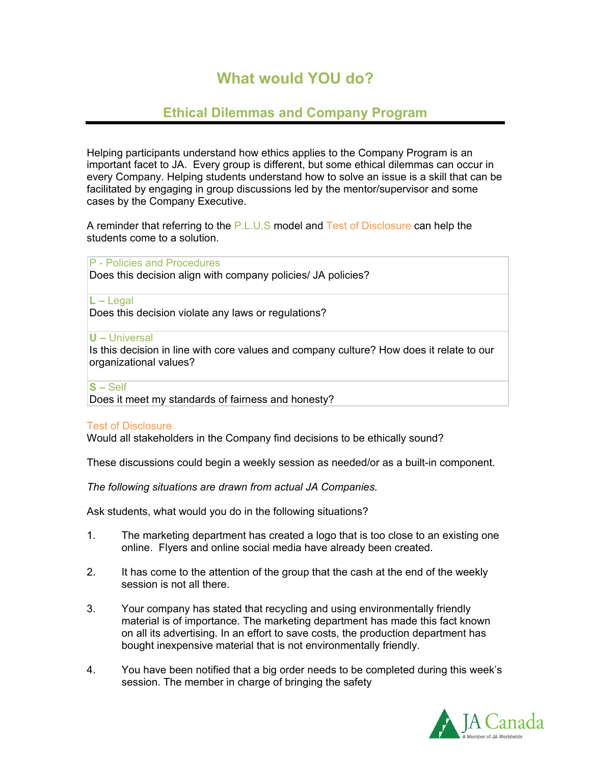# **What would YOU do?**

## **Ethical Dilemmas and Company Program**

Helping participants understand how ethics applies to the Company Program is an important facet to JA. Every group is different, but some ethical dilemmas can occur in every Company. Helping students understand how to solve an issue is a skill that can be facilitated by engaging in group discussions led by the mentor/supervisor and some cases by the Company Executive.

A reminder that referring to the P.L.U.S model and Test of Disclosure can help the students come to a solution.

P - Policies and Procedures Does this decision align with company policies/ JA policies?

**L –** Legal

Does this decision violate any laws or regulations?

### **U –** Universal

Is this decision in line with core values and company culture? How does it relate to our organizational values?

#### **S –** Self

Does it meet my standards of fairness and honesty?

### Test of Disclosure

Would all stakeholders in the Company find decisions to be ethically sound?

These discussions could begin a weekly session as needed/or as a built-in component.

*The following situations are drawn from actual JA Companies.*

Ask students, what would you do in the following situations?

- 1. The marketing department has created a logo that is too close to an existing one online. Flyers and online social media have already been created.
- 2. It has come to the attention of the group that the cash at the end of the weekly session is not all there.
- 3. Your company has stated that recycling and using environmentally friendly material is of importance. The marketing department has made this fact known on all its advertising. In an effort to save costs, the production department has bought inexpensive material that is not environmentally friendly.
- 4. You have been notified that a big order needs to be completed during this week's session. The member in charge of bringing the safety

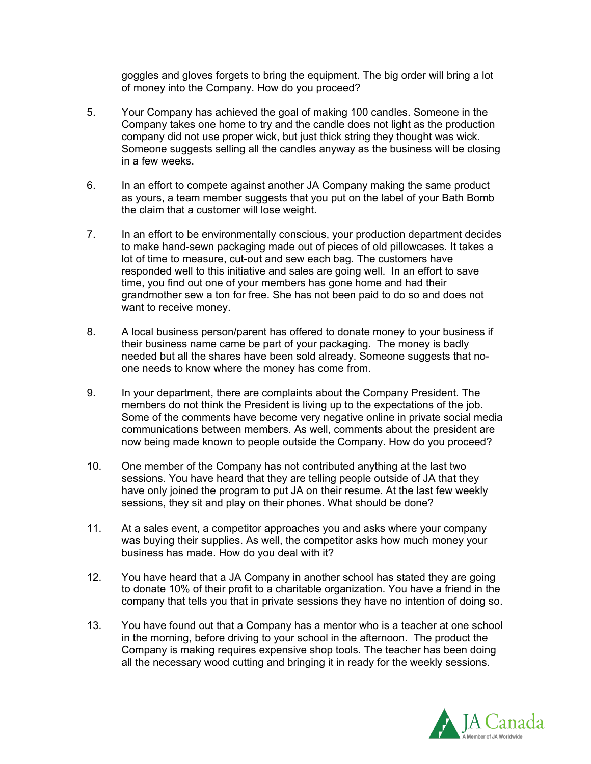goggles and gloves forgets to bring the equipment. The big order will bring a lot of money into the Company. How do you proceed?

- 5. Your Company has achieved the goal of making 100 candles. Someone in the Company takes one home to try and the candle does not light as the production company did not use proper wick, but just thick string they thought was wick. Someone suggests selling all the candles anyway as the business will be closing in a few weeks.
- 6. In an effort to compete against another JA Company making the same product as yours, a team member suggests that you put on the label of your Bath Bomb the claim that a customer will lose weight.
- 7. In an effort to be environmentally conscious, your production department decides to make hand-sewn packaging made out of pieces of old pillowcases. It takes a lot of time to measure, cut-out and sew each bag. The customers have responded well to this initiative and sales are going well. In an effort to save time, you find out one of your members has gone home and had their grandmother sew a ton for free. She has not been paid to do so and does not want to receive money.
- 8. A local business person/parent has offered to donate money to your business if their business name came be part of your packaging. The money is badly needed but all the shares have been sold already. Someone suggests that noone needs to know where the money has come from.
- 9. In your department, there are complaints about the Company President. The members do not think the President is living up to the expectations of the job. Some of the comments have become very negative online in private social media communications between members. As well, comments about the president are now being made known to people outside the Company. How do you proceed?
- 10. One member of the Company has not contributed anything at the last two sessions. You have heard that they are telling people outside of JA that they have only joined the program to put JA on their resume. At the last few weekly sessions, they sit and play on their phones. What should be done?
- 11. At a sales event, a competitor approaches you and asks where your company was buying their supplies. As well, the competitor asks how much money your business has made. How do you deal with it?
- 12. You have heard that a JA Company in another school has stated they are going to donate 10% of their profit to a charitable organization. You have a friend in the company that tells you that in private sessions they have no intention of doing so.
- 13. You have found out that a Company has a mentor who is a teacher at one school in the morning, before driving to your school in the afternoon. The product the Company is making requires expensive shop tools. The teacher has been doing all the necessary wood cutting and bringing it in ready for the weekly sessions.